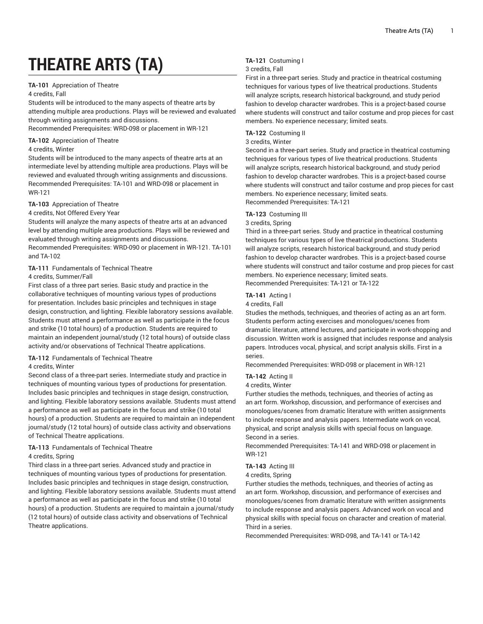# **THEATRE ARTS (TA)**

# **TA-101** Appreciation of Theatre

#### 4 credits, Fall

Students will be introduced to the many aspects of theatre arts by attending multiple area productions. Plays will be reviewed and evaluated through writing assignments and discussions.

Recommended Prerequisites: WRD-098 or placement in WR-121

# **TA-102** Appreciation of Theatre

#### 4 credits, Winter

Students will be introduced to the many aspects of theatre arts at an intermediate level by attending multiple area productions. Plays will be reviewed and evaluated through writing assignments and discussions. Recommended Prerequisites: TA-101 and WRD-098 or placement in WR-121

# **TA-103** Appreciation of Theatre

#### 4 credits, Not Offered Every Year

Students will analyze the many aspects of theatre arts at an advanced level by attending multiple area productions. Plays will be reviewed and evaluated through writing assignments and discussions.

Recommended Prerequisites: WRD-090 or placement in WR-121. TA-101 and TA-102

# **TA-111** Fundamentals of Technical Theatre

# 4 credits, Summer/Fall

First class of a three part series. Basic study and practice in the collaborative techniques of mounting various types of productions for presentation. Includes basic principles and techniques in stage design, construction, and lighting. Flexible laboratory sessions available. Students must attend a performance as well as participate in the focus and strike (10 total hours) of a production. Students are required to maintain an independent journal/study (12 total hours) of outside class activity and/or observations of Technical Theatre applications.

#### **TA-112** Fundamentals of Technical Theatre

#### 4 credits, Winter

Second class of a three-part series. Intermediate study and practice in techniques of mounting various types of productions for presentation. Includes basic principles and techniques in stage design, construction, and lighting. Flexible laboratory sessions available. Students must attend a performance as well as participate in the focus and strike (10 total hours) of a production. Students are required to maintain an independent journal/study (12 total hours) of outside class activity and observations of Technical Theatre applications.

# **TA-113** Fundamentals of Technical Theatre

# 4 credits, Spring

Third class in a three-part series. Advanced study and practice in techniques of mounting various types of productions for presentation. Includes basic principles and techniques in stage design, construction, and lighting. Flexible laboratory sessions available. Students must attend a performance as well as participate in the focus and strike (10 total hours) of a production. Students are required to maintain a journal/study (12 total hours) of outside class activity and observations of Technical Theatre applications.

# **TA-121** Costuming I

# 3 credits, Fall

First in a three-part series. Study and practice in theatrical costuming techniques for various types of live theatrical productions. Students will analyze scripts, research historical background, and study period fashion to develop character wardrobes. This is a project-based course where students will construct and tailor costume and prop pieces for cast members. No experience necessary; limited seats.

# **TA-122** Costuming II

# 3 credits, Winter

Second in a three-part series. Study and practice in theatrical costuming techniques for various types of live theatrical productions. Students will analyze scripts, research historical background, and study period fashion to develop character wardrobes. This is a project-based course where students will construct and tailor costume and prop pieces for cast members. No experience necessary; limited seats. Recommended Prerequisites: TA-121

# **TA-123** Costuming III

#### 3 credits, Spring

Third in a three-part series. Study and practice in theatrical costuming techniques for various types of live theatrical productions. Students will analyze scripts, research historical background, and study period fashion to develop character wardrobes. This is a project-based course where students will construct and tailor costume and prop pieces for cast members. No experience necessary; limited seats. Recommended Prerequisites: TA-121 or TA-122

# **TA-141** Acting I

4 credits, Fall

Studies the methods, techniques, and theories of acting as an art form. Students perform acting exercises and monologues/scenes from dramatic literature, attend lectures, and participate in work-shopping and discussion. Written work is assigned that includes response and analysis papers. Introduces vocal, physical, and script analysis skills. First in a series.

Recommended Prerequisites: WRD-098 or placement in WR-121

# **TA-142** Acting II

#### 4 credits, Winter

Further studies the methods, techniques, and theories of acting as an art form. Workshop, discussion, and performance of exercises and monologues/scenes from dramatic literature with written assignments to include response and analysis papers. Intermediate work on vocal, physical, and script analysis skills with special focus on language. Second in a series.

Recommended Prerequisites: TA-141 and WRD-098 or placement in WR-121

#### **TA-143** Acting III

#### 4 credits, Spring

Further studies the methods, techniques, and theories of acting as an art form. Workshop, discussion, and performance of exercises and monologues/scenes from dramatic literature with written assignments to include response and analysis papers. Advanced work on vocal and physical skills with special focus on character and creation of material. Third in a series.

Recommended Prerequisites: WRD-098, and TA-141 or TA-142